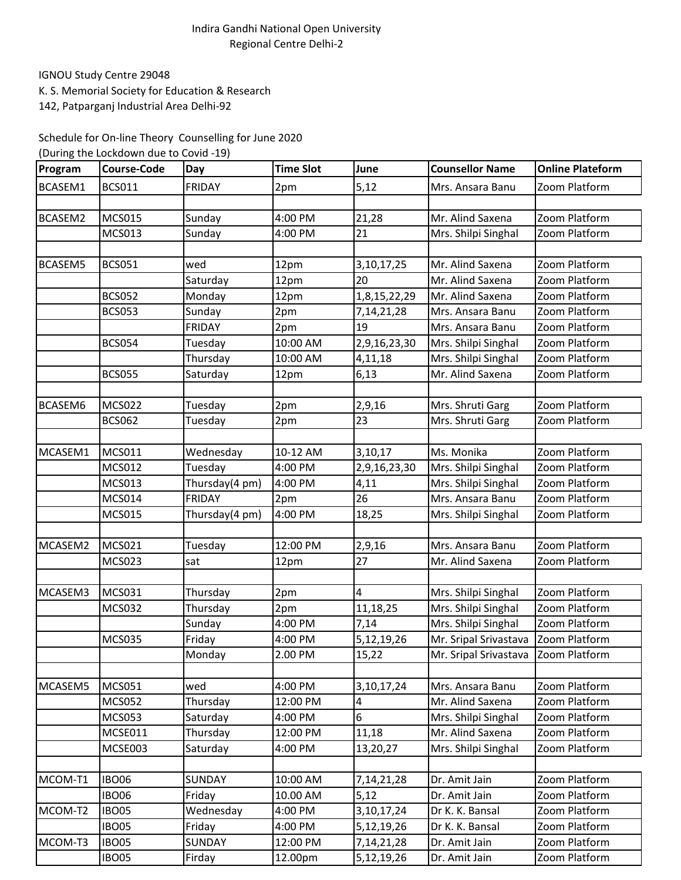## Indira Gandhi National Open University Regional Centre Delhi-2

IGNOU Study Centre 29048

K. S. Memorial Society for Education & Research

142, Patparganj Industrial Area Delhi-92

Schedule for On-line Theory Counselling for June 2020

| (During the Lockdown due to Covid -19) |
|----------------------------------------|
|----------------------------------------|

| Program | <b>Course-Code</b> | Day            | <b>Time Slot</b> | June          | <b>Counsellor Name</b>              | <b>Online Plateform</b> |
|---------|--------------------|----------------|------------------|---------------|-------------------------------------|-------------------------|
| BCASEM1 | <b>BCS011</b>      | <b>FRIDAY</b>  | 2pm              | 5,12          | Mrs. Ansara Banu                    | Zoom Platform           |
|         |                    |                |                  |               |                                     |                         |
| BCASEM2 | <b>MCS015</b>      | Sunday         | 4:00 PM          | 21,28         | Mr. Alind Saxena                    | Zoom Platform           |
|         | <b>MCS013</b>      | Sunday         | 4:00 PM          | 21            | Mrs. Shilpi Singhal                 | Zoom Platform           |
|         |                    |                |                  |               |                                     |                         |
| BCASEM5 | <b>BCS051</b>      | wed            | 12pm             | 3, 10, 17, 25 | Mr. Alind Saxena                    | Zoom Platform           |
|         |                    | Saturday       | 12pm             | 20            | Mr. Alind Saxena                    | Zoom Platform           |
|         | <b>BCS052</b>      | Monday         | 12pm             | 1,8,15,22,29  | Mr. Alind Saxena                    | Zoom Platform           |
|         | <b>BCS053</b>      | Sunday         | 2pm              | 7, 14, 21, 28 | Mrs. Ansara Banu                    | Zoom Platform           |
|         |                    | <b>FRIDAY</b>  | 2pm              | 19            | Mrs. Ansara Banu                    | Zoom Platform           |
|         | <b>BCS054</b>      | Tuesday        | 10:00 AM         | 2,9,16,23,30  | Mrs. Shilpi Singhal                 | Zoom Platform           |
|         |                    | Thursday       | 10:00 AM         | 4,11,18       | Mrs. Shilpi Singhal                 | Zoom Platform           |
|         | <b>BCS055</b>      | Saturday       | 12pm             | 6,13          | Mr. Alind Saxena                    | Zoom Platform           |
|         |                    |                |                  |               |                                     |                         |
| BCASEM6 | <b>MCS022</b>      | Tuesday        | 2pm              | 2,9,16        | Mrs. Shruti Garg                    | Zoom Platform           |
|         | <b>BCS062</b>      | Tuesday        | 2pm              | 23            | Mrs. Shruti Garg                    | Zoom Platform           |
|         |                    |                |                  |               |                                     |                         |
| MCASEM1 | <b>MCS011</b>      | Wednesday      | 10-12 AM         | 3,10,17       | Ms. Monika                          | Zoom Platform           |
|         | <b>MCS012</b>      | Tuesday        | 4:00 PM          | 2,9,16,23,30  | Mrs. Shilpi Singhal                 | Zoom Platform           |
|         | MCS013             | Thursday(4 pm) | 4:00 PM          | 4,11          | Mrs. Shilpi Singhal                 | Zoom Platform           |
|         | <b>MCS014</b>      | <b>FRIDAY</b>  | 2pm              | 26            | Mrs. Ansara Banu                    | Zoom Platform           |
|         | <b>MCS015</b>      | Thursday(4 pm) | 4:00 PM          | 18,25         | Mrs. Shilpi Singhal                 | Zoom Platform           |
|         |                    |                |                  |               |                                     |                         |
| MCASEM2 | <b>MCS021</b>      | Tuesday        | 12:00 PM         | 2,9,16        | Mrs. Ansara Banu                    | Zoom Platform           |
|         | <b>MCS023</b>      | sat            | 12pm             | 27            | Mr. Alind Saxena                    | Zoom Platform           |
|         |                    |                |                  |               |                                     |                         |
| MCASEM3 | <b>MCS031</b>      | Thursday       | 2pm              | 4             | Mrs. Shilpi Singhal                 | Zoom Platform           |
|         | <b>MCS032</b>      | Thursday       | 2pm              | 11,18,25      | Mrs. Shilpi Singhal                 | Zoom Platform           |
|         |                    | Sunday         | 4:00 PM          | 7,14          | Mrs. Shilpi Singhal                 | Zoom Platform           |
|         | <b>MCS035</b>      | Friday         | 4:00 PM          | 5,12,19,26    | Mr. Sripal Srivastava               | Zoom Platform           |
|         |                    | Monday         | 2.00 PM          | 15,22         | Mr. Sripal Srivastava Zoom Platform |                         |
|         |                    |                |                  |               |                                     |                         |
| MCASEM5 | <b>MCS051</b>      | wed            | 4:00 PM          | 3,10,17,24    | Mrs. Ansara Banu                    | Zoom Platform           |
|         | <b>MCS052</b>      | Thursday       | 12:00 PM         | 4             | Mr. Alind Saxena                    | Zoom Platform           |
|         | <b>MCS053</b>      | Saturday       | 4:00 PM          | 6             | Mrs. Shilpi Singhal                 | Zoom Platform           |
|         | MCSE011            | Thursday       | 12:00 PM         | 11,18         | Mr. Alind Saxena                    | Zoom Platform           |
|         | MCSE003            | Saturday       | 4:00 PM          | 13,20,27      | Mrs. Shilpi Singhal                 | Zoom Platform           |
|         |                    |                |                  |               |                                     |                         |
| MCOM-T1 | <b>IBO06</b>       | <b>SUNDAY</b>  | 10:00 AM         | 7,14,21,28    | Dr. Amit Jain                       | Zoom Platform           |
|         | <b>IBO06</b>       | Friday         | 10.00 AM         | 5,12          | Dr. Amit Jain                       | Zoom Platform           |
| MCOM-T2 | <b>IBO05</b>       | Wednesday      | 4:00 PM          | 3, 10, 17, 24 | Dr K. K. Bansal                     | Zoom Platform           |
|         | <b>IBO05</b>       | Friday         | 4:00 PM          | 5,12,19,26    | Dr K. K. Bansal                     | Zoom Platform           |
| MCOM-T3 | <b>IBO05</b>       | SUNDAY         | 12:00 PM         | 7, 14, 21, 28 | Dr. Amit Jain                       | Zoom Platform           |
|         | <b>IBO05</b>       | Firday         | 12.00pm          | 5,12,19,26    | Dr. Amit Jain                       | Zoom Platform           |